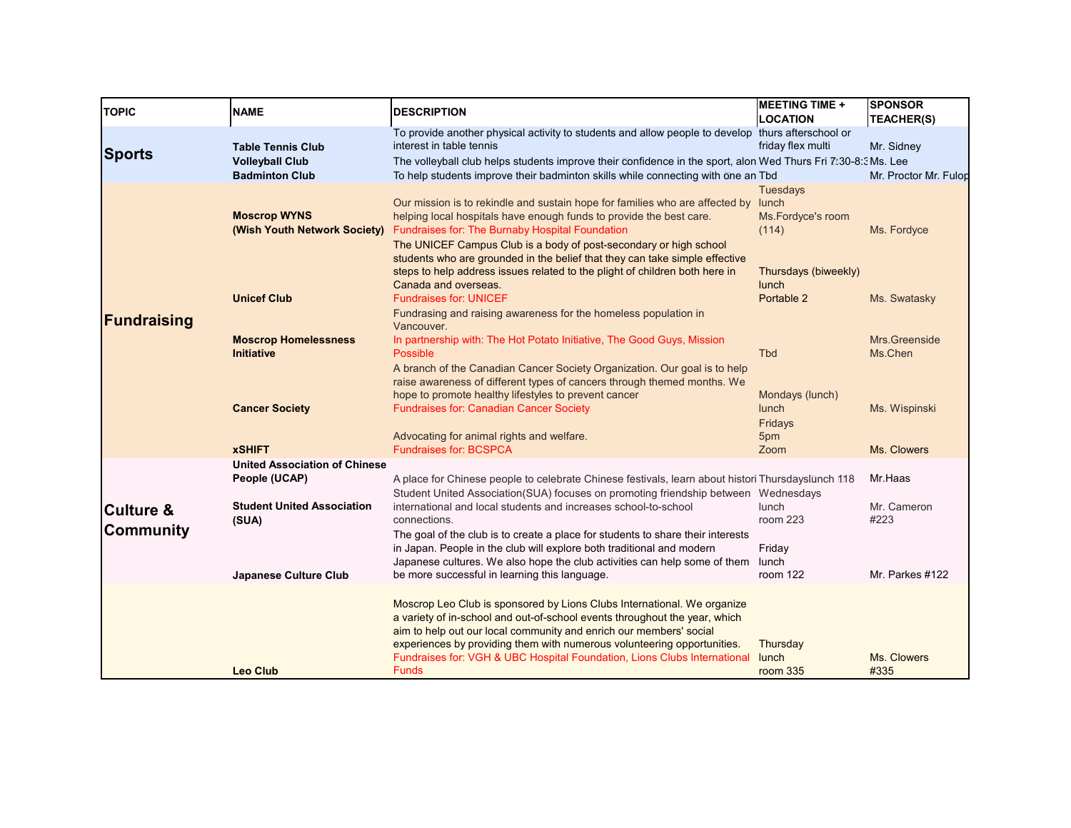| <b>TOPIC</b>                             | <b>NAME</b>                                                                 | <b>DESCRIPTION</b>                                                                                                                                                                                                                                                                                                                                                                                  | <b>MEETING TIME +</b><br><b>LOCATION</b>               | <b>SPONSOR</b><br><b>TEACHER(S)</b> |
|------------------------------------------|-----------------------------------------------------------------------------|-----------------------------------------------------------------------------------------------------------------------------------------------------------------------------------------------------------------------------------------------------------------------------------------------------------------------------------------------------------------------------------------------------|--------------------------------------------------------|-------------------------------------|
| Sports                                   | <b>Table Tennis Club</b><br><b>Volleyball Club</b><br><b>Badminton Club</b> | To provide another physical activity to students and allow people to develop thurs afterschool or<br>interest in table tennis<br>The volleyball club helps students improve their confidence in the sport, alon Wed Thurs Fri Z:30-8:3Ms. Lee<br>To help students improve their badminton skills while connecting with one an Tbd                                                                   | friday flex multi                                      | Mr. Sidney<br>Mr. Proctor Mr. Fulop |
|                                          | <b>Moscrop WYNS</b><br>(Wish Youth Network Society)                         | Our mission is to rekindle and sustain hope for families who are affected by<br>helping local hospitals have enough funds to provide the best care.<br><b>Fundraises for: The Burnaby Hospital Foundation</b><br>The UNICEF Campus Club is a body of post-secondary or high school<br>students who are grounded in the belief that they can take simple effective                                   | <b>Tuesdays</b><br>lunch<br>Ms.Fordyce's room<br>(114) | Ms. Fordyce                         |
| Fundraising                              | <b>Unicef Club</b>                                                          | steps to help address issues related to the plight of children both here in<br>Canada and overseas.<br><b>Fundraises for: UNICEF</b><br>Fundrasing and raising awareness for the homeless population in<br>Vancouver.                                                                                                                                                                               | Thursdays (biweekly)<br>lunch<br>Portable 2            | Ms. Swatasky                        |
|                                          | <b>Moscrop Homelessness</b><br><b>Initiative</b>                            | In partnership with: The Hot Potato Initiative, The Good Guys, Mission<br>Possible                                                                                                                                                                                                                                                                                                                  | <b>Tbd</b>                                             | Mrs.Greenside<br>Ms.Chen            |
|                                          | <b>Cancer Society</b><br><b>xSHIFT</b>                                      | A branch of the Canadian Cancer Society Organization. Our goal is to help<br>raise awareness of different types of cancers through themed months. We<br>hope to promote healthy lifestyles to prevent cancer<br><b>Fundraises for: Canadian Cancer Society</b><br>Advocating for animal rights and welfare.<br><b>Fundraises for: BCSPCA</b>                                                        | Mondays (lunch)<br>lunch<br>Fridays<br>5pm<br>Zoom     | Ms. Wispinski<br>Ms. Clowers        |
|                                          | <b>United Association of Chinese</b><br>People (UCAP)                       | A place for Chinese people to celebrate Chinese festivals, learn about histori Thursdayslunch 118                                                                                                                                                                                                                                                                                                   |                                                        | Mr.Haas                             |
| <b>Culture &amp;</b><br><b>Community</b> | <b>Student United Association</b><br>(SUA)                                  | Student United Association(SUA) focuses on promoting friendship between<br>international and local students and increases school-to-school<br>connections.<br>The goal of the club is to create a place for students to share their interests<br>in Japan. People in the club will explore both traditional and modern<br>Japanese cultures. We also hope the club activities can help some of them | Wednesdays<br>lunch<br>room 223<br>Friday<br>lunch     | Mr. Cameron<br>#223                 |
|                                          | <b>Japanese Culture Club</b>                                                | be more successful in learning this language.                                                                                                                                                                                                                                                                                                                                                       | room 122                                               | Mr. Parkes #122                     |
|                                          | <b>Leo Club</b>                                                             | Moscrop Leo Club is sponsored by Lions Clubs International. We organize<br>a variety of in-school and out-of-school events throughout the year, which<br>aim to help out our local community and enrich our members' social<br>experiences by providing them with numerous volunteering opportunities.<br>Fundraises for: VGH & UBC Hospital Foundation, Lions Clubs International<br><b>Funds</b>  | Thursday<br>lunch<br>room 335                          | Ms. Clowers<br>#335                 |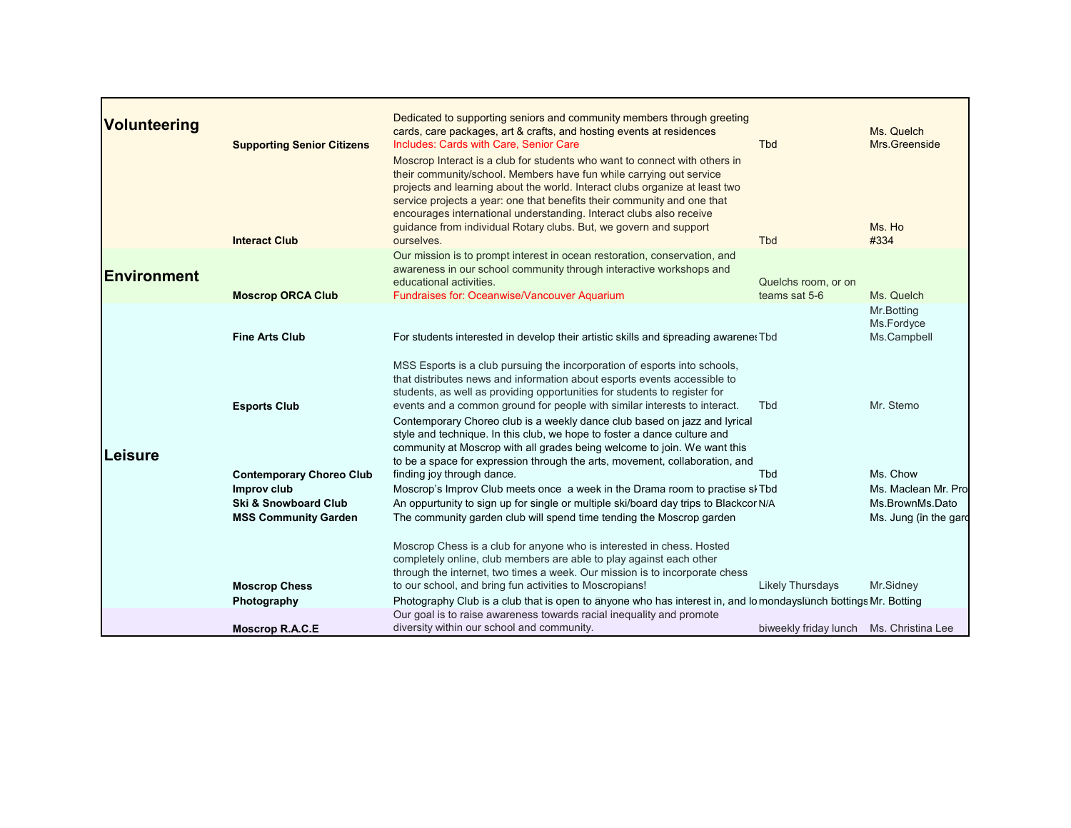| <b>Volunteering</b> | <b>Supporting Senior Citizens</b><br><b>Interact Club</b>                     | Dedicated to supporting seniors and community members through greeting<br>cards, care packages, art & crafts, and hosting events at residences<br>Includes: Cards with Care, Senior Care<br>Moscrop Interact is a club for students who want to connect with others in<br>their community/school. Members have fun while carrying out service<br>projects and learning about the world. Interact clubs organize at least two<br>service projects a year: one that benefits their community and one that<br>encourages international understanding. Interact clubs also receive<br>guidance from individual Rotary clubs. But, we govern and support<br>ourselves. | <b>Tbd</b><br><b>Tbd</b>                | Ms. Quelch<br>Mrs.Greenside<br>Ms. Ho<br>#334                   |
|---------------------|-------------------------------------------------------------------------------|-------------------------------------------------------------------------------------------------------------------------------------------------------------------------------------------------------------------------------------------------------------------------------------------------------------------------------------------------------------------------------------------------------------------------------------------------------------------------------------------------------------------------------------------------------------------------------------------------------------------------------------------------------------------|-----------------------------------------|-----------------------------------------------------------------|
| <b>Environment</b>  | <b>Moscrop ORCA Club</b>                                                      | Our mission is to prompt interest in ocean restoration, conservation, and<br>awareness in our school community through interactive workshops and<br>educational activities.<br><b>Fundraises for: Oceanwise/Vancouver Aquarium</b>                                                                                                                                                                                                                                                                                                                                                                                                                                | Quelchs room, or on<br>teams sat 5-6    | Ms. Quelch                                                      |
|                     | <b>Fine Arts Club</b>                                                         | For students interested in develop their artistic skills and spreading awarene: Tbd                                                                                                                                                                                                                                                                                                                                                                                                                                                                                                                                                                               |                                         | Mr.Botting<br>Ms.Fordyce<br>Ms.Campbell                         |
| Leisure             | <b>Esports Club</b><br><b>Contemporary Choreo Club</b>                        | MSS Esports is a club pursuing the incorporation of esports into schools,<br>that distributes news and information about esports events accessible to<br>students, as well as providing opportunities for students to register for<br>events and a common ground for people with similar interests to interact.<br>Contemporary Choreo club is a weekly dance club based on jazz and lyrical<br>style and technique. In this club, we hope to foster a dance culture and<br>community at Moscrop with all grades being welcome to join. We want this<br>to be a space for expression through the arts, movement, collaboration, and<br>finding joy through dance. | <b>Tbd</b><br><b>Tbd</b>                | Mr. Stemo<br>Ms. Chow                                           |
|                     | Improv club<br><b>Ski &amp; Snowboard Club</b><br><b>MSS Community Garden</b> | Moscrop's Improv Club meets once a week in the Drama room to practise sl Tbd<br>An oppurtunity to sign up for single or multiple ski/board day trips to Blackcor N/A<br>The community garden club will spend time tending the Moscrop garden                                                                                                                                                                                                                                                                                                                                                                                                                      |                                         | Ms. Maclean Mr. Pro<br>Ms.BrownMs.Dato<br>Ms. Jung (in the gard |
|                     | <b>Moscrop Chess</b>                                                          | Moscrop Chess is a club for anyone who is interested in chess. Hosted<br>completely online, club members are able to play against each other<br>through the internet, two times a week. Our mission is to incorporate chess<br>to our school, and bring fun activities to Moscropians!                                                                                                                                                                                                                                                                                                                                                                            | <b>Likely Thursdays</b>                 | Mr.Sidney                                                       |
|                     | Photography<br><b>Moscrop R.A.C.E</b>                                         | Photography Club is a club that is open to anyone who has interest in, and lo mondayslunch bottings Mr. Botting<br>Our goal is to raise awareness towards racial inequality and promote<br>diversity within our school and community.                                                                                                                                                                                                                                                                                                                                                                                                                             | biweekly friday lunch Ms. Christina Lee |                                                                 |